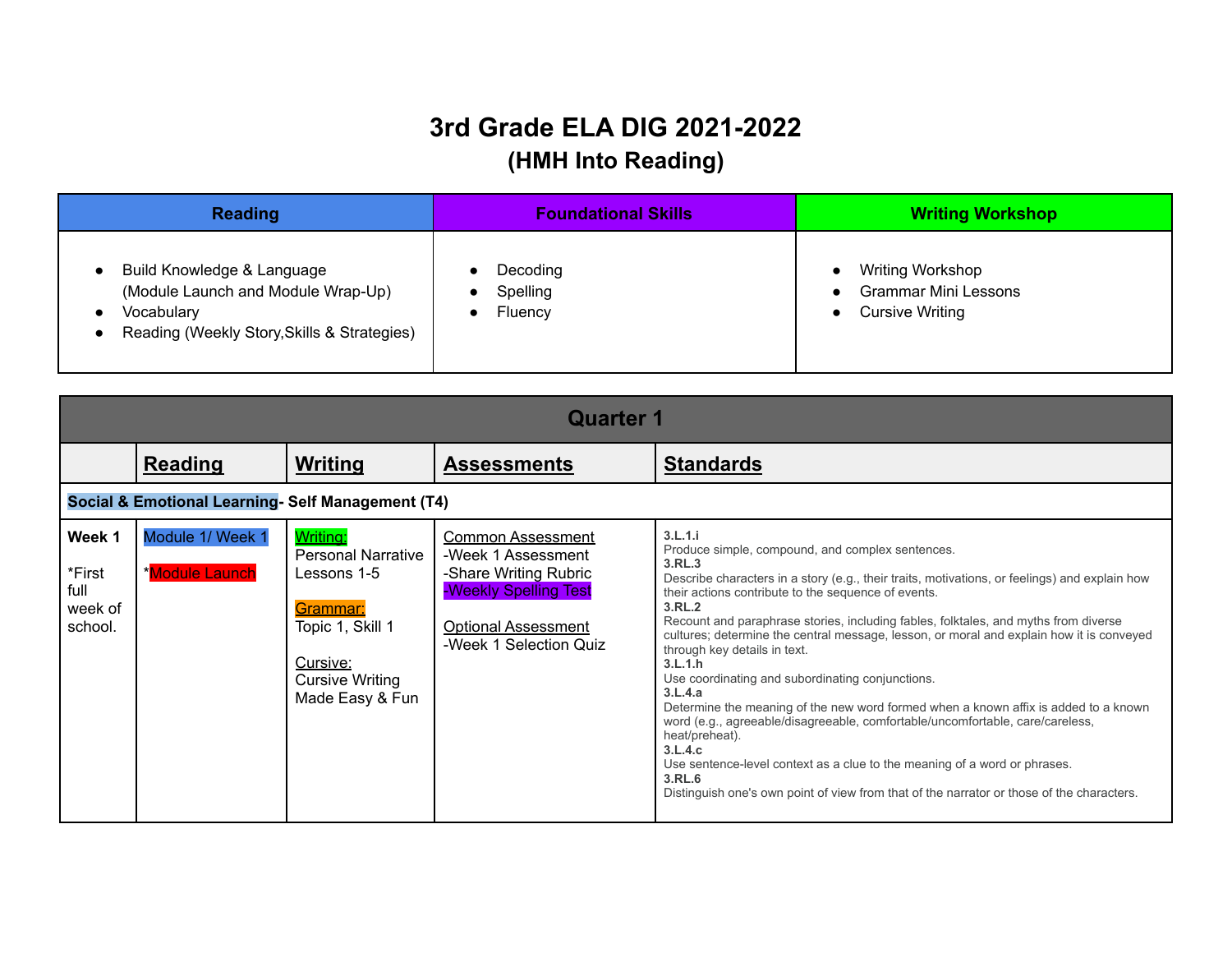## **3rd Grade ELA DIG 2021-2022 (HMH Into Reading)**

| <b>Reading</b>                                                                                                                | <b>Foundational Skills</b>      | <b>Writing Workshop</b>                                                          |  |
|-------------------------------------------------------------------------------------------------------------------------------|---------------------------------|----------------------------------------------------------------------------------|--|
| Build Knowledge & Language<br>(Module Launch and Module Wrap-Up)<br>Vocabulary<br>Reading (Weekly Story, Skills & Strategies) | Decoding<br>Spelling<br>Fluency | <b>Writing Workshop</b><br><b>Grammar Mini Lessons</b><br><b>Cursive Writing</b> |  |

|                                                | <b>Quarter 1</b>                                 |                                                                                                                                                      |                                                                                                                                                          |                                                                                                                                                                                                                                                                                                                                                                                                                                                                                                                                                                                                                                                                                                                                                                                                                                                                                                                               |  |
|------------------------------------------------|--------------------------------------------------|------------------------------------------------------------------------------------------------------------------------------------------------------|----------------------------------------------------------------------------------------------------------------------------------------------------------|-------------------------------------------------------------------------------------------------------------------------------------------------------------------------------------------------------------------------------------------------------------------------------------------------------------------------------------------------------------------------------------------------------------------------------------------------------------------------------------------------------------------------------------------------------------------------------------------------------------------------------------------------------------------------------------------------------------------------------------------------------------------------------------------------------------------------------------------------------------------------------------------------------------------------------|--|
|                                                | <b>Reading</b>                                   | Writing                                                                                                                                              | <b>Assessments</b>                                                                                                                                       | <b>Standards</b>                                                                                                                                                                                                                                                                                                                                                                                                                                                                                                                                                                                                                                                                                                                                                                                                                                                                                                              |  |
|                                                | Social & Emotional Learning-Self Management (T4) |                                                                                                                                                      |                                                                                                                                                          |                                                                                                                                                                                                                                                                                                                                                                                                                                                                                                                                                                                                                                                                                                                                                                                                                                                                                                                               |  |
| Week 1<br>*First<br>full<br>week of<br>school. | Module 1/ Week 1<br>*Module Launch               | <b>Writing:</b><br><b>Personal Narrative</b><br>Lessons 1-5<br>Grammar:<br>Topic 1, Skill 1<br>Cursive:<br><b>Cursive Writing</b><br>Made Easy & Fun | <b>Common Assessment</b><br>-Week 1 Assessment<br>-Share Writing Rubric<br>-Weekly Spelling Test<br><b>Optional Assessment</b><br>-Week 1 Selection Quiz | 3.L.1.i<br>Produce simple, compound, and complex sentences.<br>3.RL.3<br>Describe characters in a story (e.g., their traits, motivations, or feelings) and explain how<br>their actions contribute to the sequence of events.<br>3.RL.2<br>Recount and paraphrase stories, including fables, folktales, and myths from diverse<br>cultures; determine the central message, lesson, or moral and explain how it is conveyed<br>through key details in text.<br>3.L.1.h<br>Use coordinating and subordinating conjunctions.<br>3.L.4.a<br>Determine the meaning of the new word formed when a known affix is added to a known<br>word (e.g., agreeable/disagreeable, comfortable/uncomfortable, care/careless,<br>heat/preheat).<br>3.L.4.c<br>Use sentence-level context as a clue to the meaning of a word or phrases.<br>3.RL.6<br>Distinguish one's own point of view from that of the narrator or those of the characters. |  |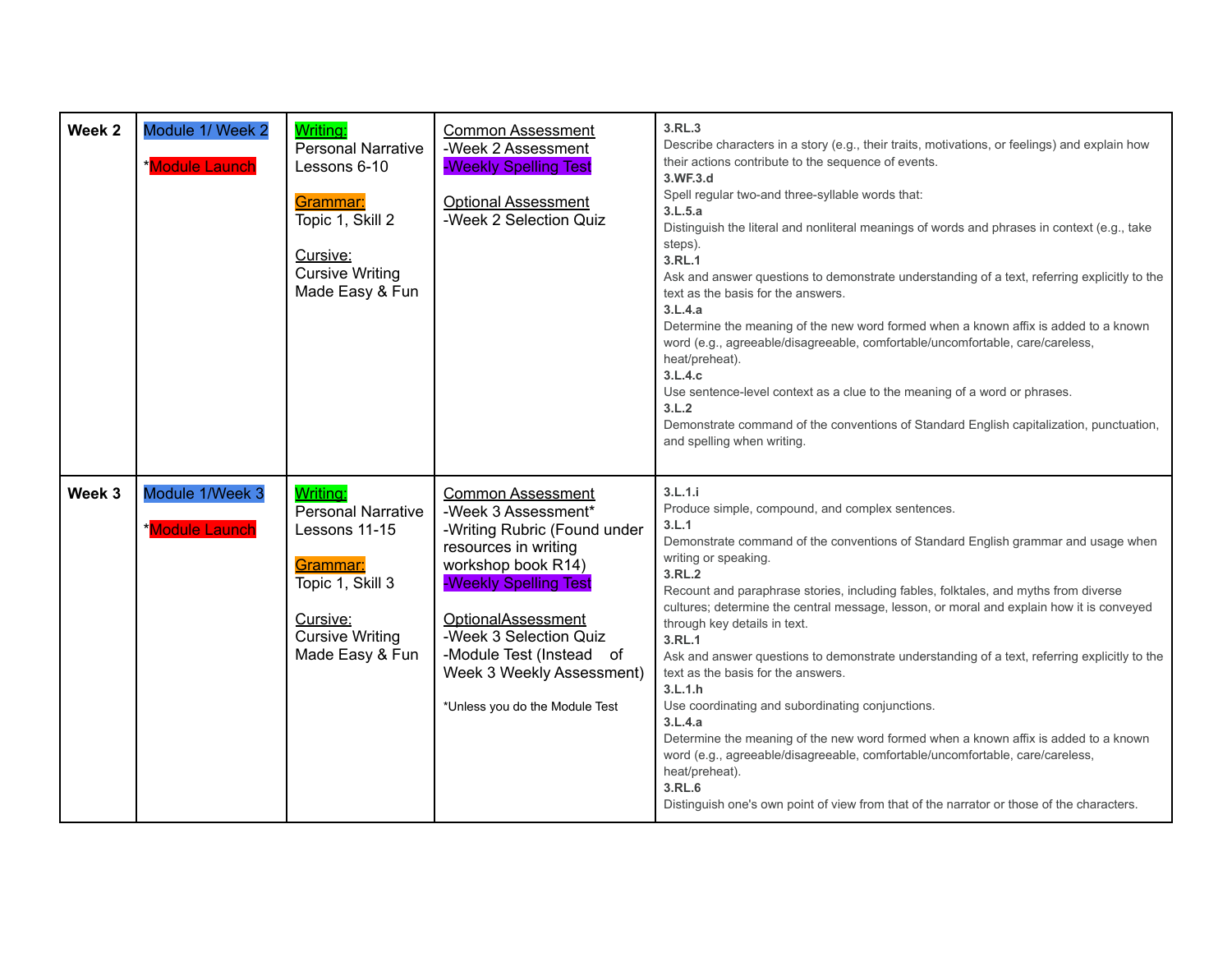| Week <sub>2</sub> | Module 1/ Week 2<br><b>*Module Launch</b> | Writing:<br><b>Personal Narrative</b><br>Lessons 6-10<br>Grammar:<br>Topic 1, Skill 2<br>Cursive:<br><b>Cursive Writing</b><br>Made Easy & Fun  | <b>Common Assessment</b><br>-Week 2 Assessment<br>-Weekly Spelling Test<br><b>Optional Assessment</b><br>-Week 2 Selection Quiz                                                                                                                                                                   | 3.RL.3<br>Describe characters in a story (e.g., their traits, motivations, or feelings) and explain how<br>their actions contribute to the sequence of events.<br>3.WF.3.d<br>Spell regular two-and three-syllable words that:<br>3.L.5.a<br>Distinguish the literal and nonliteral meanings of words and phrases in context (e.g., take<br>steps).<br>3.RL.1<br>Ask and answer questions to demonstrate understanding of a text, referring explicitly to the<br>text as the basis for the answers.<br>3.L.4.a<br>Determine the meaning of the new word formed when a known affix is added to a known<br>word (e.g., agreeable/disagreeable, comfortable/uncomfortable, care/careless,<br>heat/preheat).<br>3.L.4.c<br>Use sentence-level context as a clue to the meaning of a word or phrases.<br>3.L.2<br>Demonstrate command of the conventions of Standard English capitalization, punctuation,<br>and spelling when writing.        |
|-------------------|-------------------------------------------|-------------------------------------------------------------------------------------------------------------------------------------------------|---------------------------------------------------------------------------------------------------------------------------------------------------------------------------------------------------------------------------------------------------------------------------------------------------|-------------------------------------------------------------------------------------------------------------------------------------------------------------------------------------------------------------------------------------------------------------------------------------------------------------------------------------------------------------------------------------------------------------------------------------------------------------------------------------------------------------------------------------------------------------------------------------------------------------------------------------------------------------------------------------------------------------------------------------------------------------------------------------------------------------------------------------------------------------------------------------------------------------------------------------------|
| Week 3            | Module 1/Week 3<br>*Module Launch         | Writing:<br><b>Personal Narrative</b><br>Lessons 11-15<br>Grammar:<br>Topic 1, Skill 3<br>Cursive:<br><b>Cursive Writing</b><br>Made Easy & Fun | <b>Common Assessment</b><br>-Week 3 Assessment*<br>-Writing Rubric (Found under<br>resources in writing<br>workshop book R14)<br>-Weekly Spelling Test<br>OptionalAssessment<br>-Week 3 Selection Quiz<br>-Module Test (Instead of<br>Week 3 Weekly Assessment)<br>*Unless you do the Module Test | 3.L.1.i<br>Produce simple, compound, and complex sentences.<br>3.L.1<br>Demonstrate command of the conventions of Standard English grammar and usage when<br>writing or speaking.<br>3.RL.2<br>Recount and paraphrase stories, including fables, folktales, and myths from diverse<br>cultures; determine the central message, lesson, or moral and explain how it is conveyed<br>through key details in text.<br>3.RL.1<br>Ask and answer questions to demonstrate understanding of a text, referring explicitly to the<br>text as the basis for the answers.<br>3.L.1.h<br>Use coordinating and subordinating conjunctions.<br>3.L.4.a<br>Determine the meaning of the new word formed when a known affix is added to a known<br>word (e.g., agreeable/disagreeable, comfortable/uncomfortable, care/careless,<br>heat/preheat).<br>3.RL.6<br>Distinguish one's own point of view from that of the narrator or those of the characters. |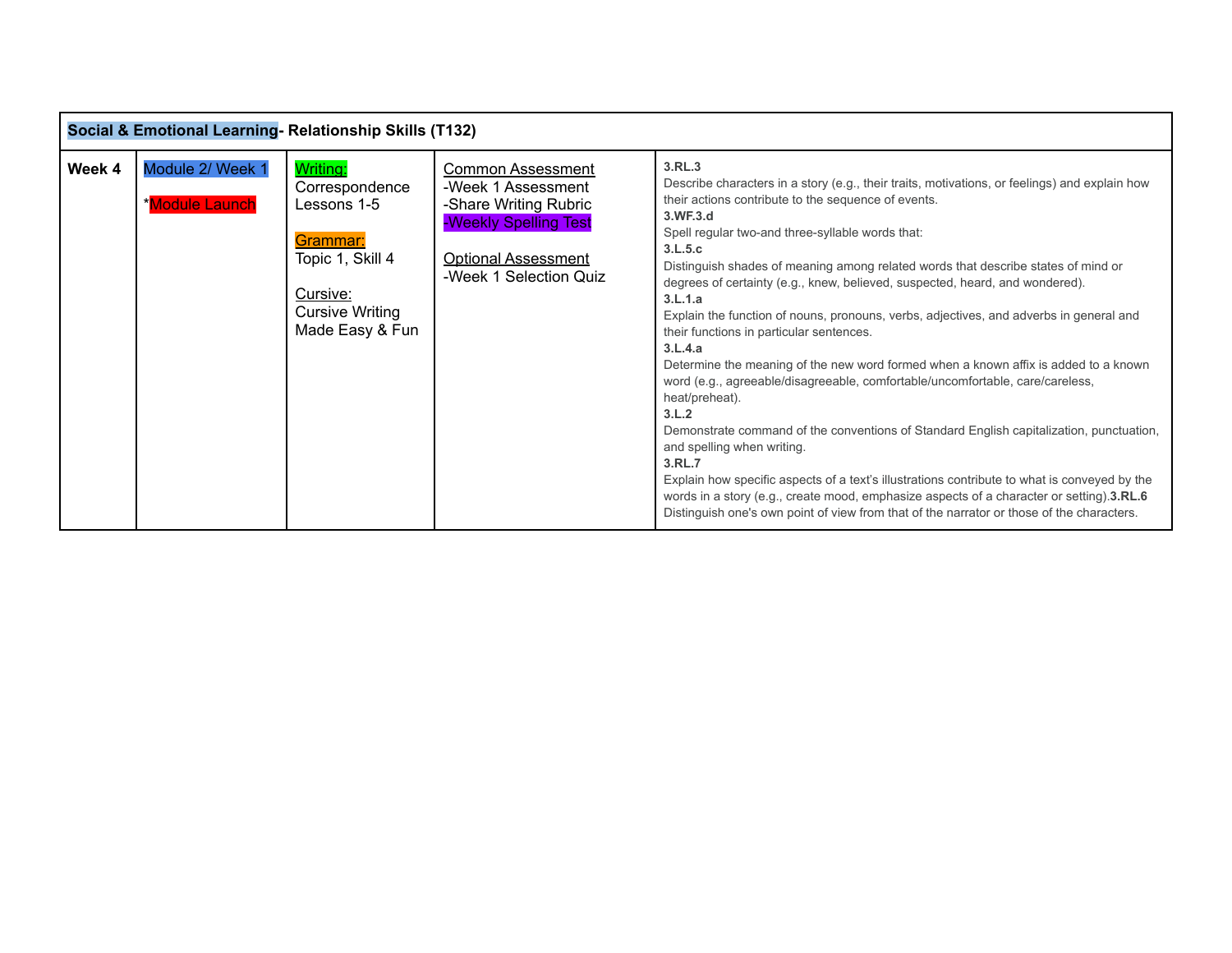|        | Social & Emotional Learning- Relationship Skills (T132) |                                                                                                                             |                                                                                                                                                   |                                                                                                                                                                                                                                                                                                                                                                                                                                                                                                                                                                                                                                                                                                                                                                                                                                                                                                                                                                                                                                                                                                                                                                                                           |  |
|--------|---------------------------------------------------------|-----------------------------------------------------------------------------------------------------------------------------|---------------------------------------------------------------------------------------------------------------------------------------------------|-----------------------------------------------------------------------------------------------------------------------------------------------------------------------------------------------------------------------------------------------------------------------------------------------------------------------------------------------------------------------------------------------------------------------------------------------------------------------------------------------------------------------------------------------------------------------------------------------------------------------------------------------------------------------------------------------------------------------------------------------------------------------------------------------------------------------------------------------------------------------------------------------------------------------------------------------------------------------------------------------------------------------------------------------------------------------------------------------------------------------------------------------------------------------------------------------------------|--|
| Week 4 | Module 2/ Week 1<br>*Module Launch                      | Writing:<br>Correspondence<br>Lessons 1-5<br>Grammar:<br>Topic 1, Skill 4<br>Cursive:<br>Cursive Writing<br>Made Easy & Fun | Common Assessment<br>-Week 1 Assessment<br>-Share Writing Rubric<br>-Weekly Spelling Test<br><b>Optional Assessment</b><br>-Week 1 Selection Quiz | 3.RL.3<br>Describe characters in a story (e.g., their traits, motivations, or feelings) and explain how<br>their actions contribute to the sequence of events.<br>3.WF.3.d<br>Spell regular two-and three-syllable words that:<br>3.L.5.c<br>Distinguish shades of meaning among related words that describe states of mind or<br>degrees of certainty (e.g., knew, believed, suspected, heard, and wondered).<br>3.L.1.a<br>Explain the function of nouns, pronouns, verbs, adjectives, and adverbs in general and<br>their functions in particular sentences.<br>3.L.4.a<br>Determine the meaning of the new word formed when a known affix is added to a known<br>word (e.g., agreeable/disagreeable, comfortable/uncomfortable, care/careless,<br>heat/preheat).<br>3.L.2<br>Demonstrate command of the conventions of Standard English capitalization, punctuation,<br>and spelling when writing.<br>3.RL.7<br>Explain how specific aspects of a text's illustrations contribute to what is conveyed by the<br>words in a story (e.g., create mood, emphasize aspects of a character or setting).3.RL.6<br>Distinguish one's own point of view from that of the narrator or those of the characters. |  |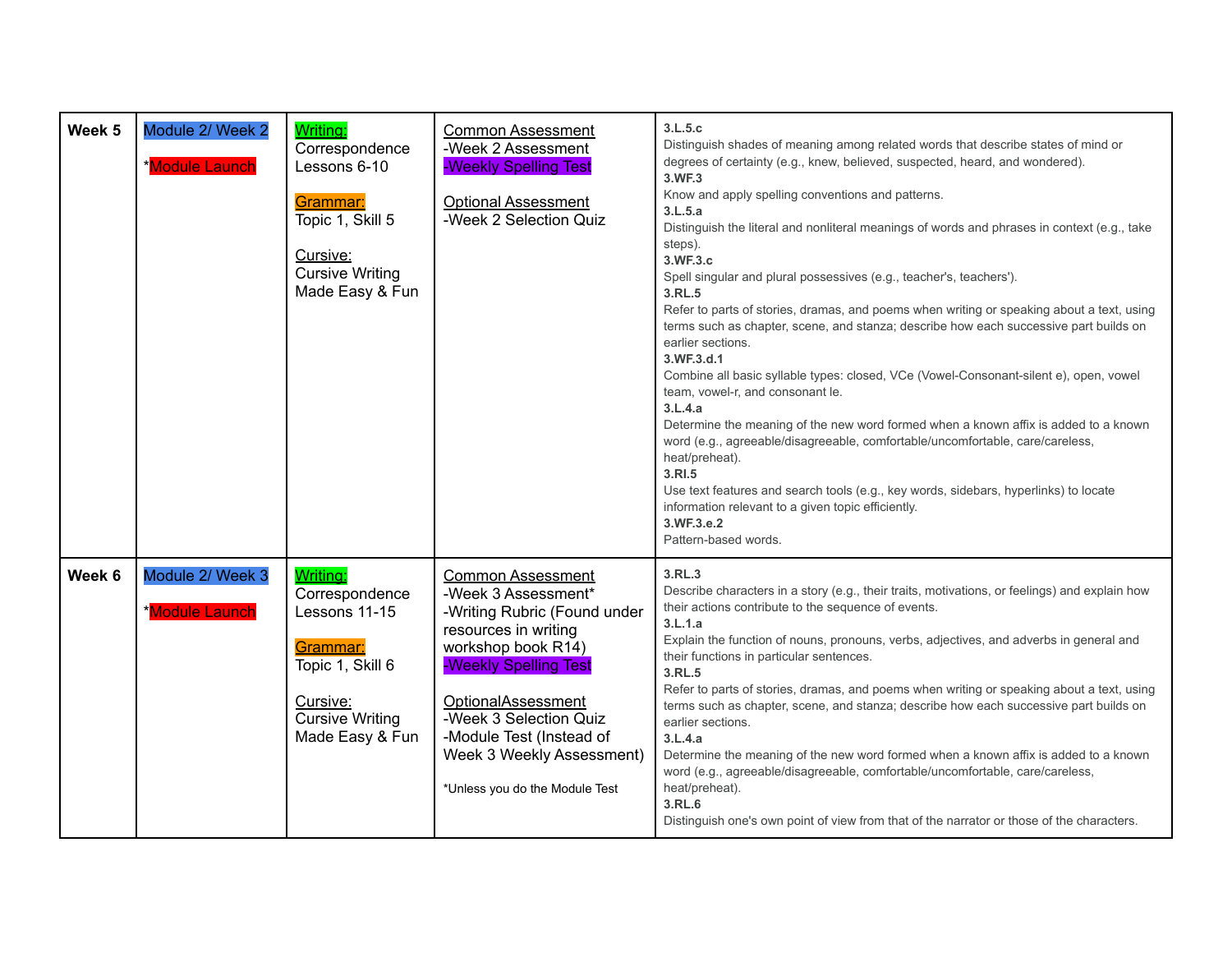| Week 5 | Module 2/ Week 2<br><b>Module Launch</b>  | Writing:<br>Correspondence<br>Lessons 6-10<br>Grammar:<br>Topic 1, Skill 5<br>Cursive:<br><b>Cursive Writing</b><br>Made Easy & Fun  | <b>Common Assessment</b><br>-Week 2 Assessment<br>-Weekly Spelling Test<br><b>Optional Assessment</b><br>-Week 2 Selection Quiz                                                                                                                                                                          | 3.L.5.c<br>Distinguish shades of meaning among related words that describe states of mind or<br>degrees of certainty (e.g., knew, believed, suspected, heard, and wondered).<br>3.WF.3<br>Know and apply spelling conventions and patterns.<br>3.L.5.a<br>Distinguish the literal and nonliteral meanings of words and phrases in context (e.g., take<br>steps).<br>3.WF.3.c<br>Spell singular and plural possessives (e.g., teacher's, teachers').<br>3.RL.5<br>Refer to parts of stories, dramas, and poems when writing or speaking about a text, using<br>terms such as chapter, scene, and stanza; describe how each successive part builds on<br>earlier sections.<br>3.WF.3.d.1<br>Combine all basic syllable types: closed, VCe (Vowel-Consonant-silent e), open, vowel<br>team, vowel-r, and consonant le.<br>3.L.4.a<br>Determine the meaning of the new word formed when a known affix is added to a known<br>word (e.g., agreeable/disagreeable, comfortable/uncomfortable, care/careless,<br>heat/preheat).<br>3.RI.5<br>Use text features and search tools (e.g., key words, sidebars, hyperlinks) to locate<br>information relevant to a given topic efficiently.<br>3.WF.3.e.2<br>Pattern-based words. |
|--------|-------------------------------------------|--------------------------------------------------------------------------------------------------------------------------------------|----------------------------------------------------------------------------------------------------------------------------------------------------------------------------------------------------------------------------------------------------------------------------------------------------------|------------------------------------------------------------------------------------------------------------------------------------------------------------------------------------------------------------------------------------------------------------------------------------------------------------------------------------------------------------------------------------------------------------------------------------------------------------------------------------------------------------------------------------------------------------------------------------------------------------------------------------------------------------------------------------------------------------------------------------------------------------------------------------------------------------------------------------------------------------------------------------------------------------------------------------------------------------------------------------------------------------------------------------------------------------------------------------------------------------------------------------------------------------------------------------------------------------------------|
| Week 6 | Module 2/ Week 3<br><b>*Module Launch</b> | Writing:<br>Correspondence<br>Lessons 11-15<br>Grammar:<br>Topic 1, Skill 6<br>Cursive:<br><b>Cursive Writing</b><br>Made Easy & Fun | <b>Common Assessment</b><br>-Week 3 Assessment*<br>-Writing Rubric (Found under<br>resources in writing<br>workshop book R14)<br>-Weekly Spelling Test<br><b>OptionalAssessment</b><br>-Week 3 Selection Quiz<br>-Module Test (Instead of<br>Week 3 Weekly Assessment)<br>*Unless you do the Module Test | 3.RL.3<br>Describe characters in a story (e.g., their traits, motivations, or feelings) and explain how<br>their actions contribute to the sequence of events.<br>3.L.1.a<br>Explain the function of nouns, pronouns, verbs, adjectives, and adverbs in general and<br>their functions in particular sentences.<br>3.RL.5<br>Refer to parts of stories, dramas, and poems when writing or speaking about a text, using<br>terms such as chapter, scene, and stanza; describe how each successive part builds on<br>earlier sections.<br>3.L.4.a<br>Determine the meaning of the new word formed when a known affix is added to a known<br>word (e.g., agreeable/disagreeable, comfortable/uncomfortable, care/careless,<br>heat/preheat).<br>3.RL.6<br>Distinguish one's own point of view from that of the narrator or those of the characters.                                                                                                                                                                                                                                                                                                                                                                       |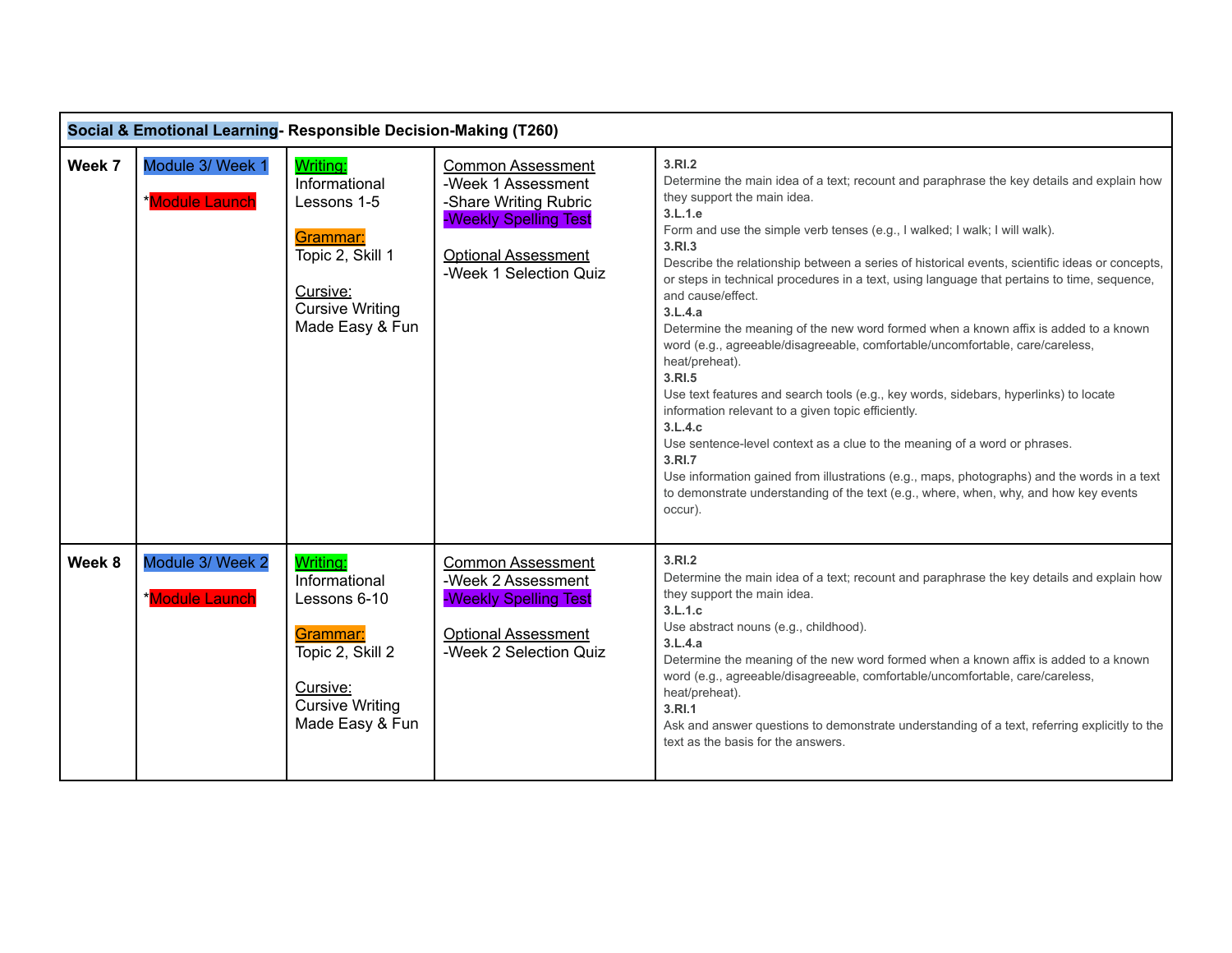|        | Social & Emotional Learning-Responsible Decision-Making (T260) |                                                                                                                                    |                                                                                                                                                          |                                                                                                                                                                                                                                                                                                                                                                                                                                                                                                                                                                                                                                                                                                                                                                                                                                                                                                                                                                                                                                                                                                                              |  |
|--------|----------------------------------------------------------------|------------------------------------------------------------------------------------------------------------------------------------|----------------------------------------------------------------------------------------------------------------------------------------------------------|------------------------------------------------------------------------------------------------------------------------------------------------------------------------------------------------------------------------------------------------------------------------------------------------------------------------------------------------------------------------------------------------------------------------------------------------------------------------------------------------------------------------------------------------------------------------------------------------------------------------------------------------------------------------------------------------------------------------------------------------------------------------------------------------------------------------------------------------------------------------------------------------------------------------------------------------------------------------------------------------------------------------------------------------------------------------------------------------------------------------------|--|
| Week 7 | Module 3/ Week 1<br>*Module Launch                             | Writing:<br>Informational<br>Lessons 1-5<br>Grammar:<br>Topic 2, Skill 1<br>Cursive:<br><b>Cursive Writing</b><br>Made Easy & Fun  | <b>Common Assessment</b><br>-Week 1 Assessment<br>-Share Writing Rubric<br>-Weekly Spelling Test<br><b>Optional Assessment</b><br>-Week 1 Selection Quiz | 3.RI.2<br>Determine the main idea of a text; recount and paraphrase the key details and explain how<br>they support the main idea.<br>3.L.1.e<br>Form and use the simple verb tenses (e.g., I walked; I walk; I will walk).<br>3.RI.3<br>Describe the relationship between a series of historical events, scientific ideas or concepts,<br>or steps in technical procedures in a text, using language that pertains to time, sequence,<br>and cause/effect.<br>3.L.4.a<br>Determine the meaning of the new word formed when a known affix is added to a known<br>word (e.g., agreeable/disagreeable, comfortable/uncomfortable, care/careless,<br>heat/preheat).<br>3.RI.5<br>Use text features and search tools (e.g., key words, sidebars, hyperlinks) to locate<br>information relevant to a given topic efficiently.<br>3.L.4.c<br>Use sentence-level context as a clue to the meaning of a word or phrases.<br>3.RI.7<br>Use information gained from illustrations (e.g., maps, photographs) and the words in a text<br>to demonstrate understanding of the text (e.g., where, when, why, and how key events<br>occur). |  |
| Week 8 | Module 3/ Week 2<br>*Module Launch                             | Writing:<br>Informational<br>Lessons 6-10<br>Grammar:<br>Topic 2, Skill 2<br>Cursive:<br><b>Cursive Writing</b><br>Made Easy & Fun | <b>Common Assessment</b><br>-Week 2 Assessment<br>-Weekly Spelling Test<br><b>Optional Assessment</b><br>-Week 2 Selection Quiz                          | 3.RI.2<br>Determine the main idea of a text; recount and paraphrase the key details and explain how<br>they support the main idea.<br>3.L.1.c<br>Use abstract nouns (e.g., childhood).<br>3.L.4.a<br>Determine the meaning of the new word formed when a known affix is added to a known<br>word (e.g., agreeable/disagreeable, comfortable/uncomfortable, care/careless,<br>heat/preheat).<br>3.RI.1<br>Ask and answer questions to demonstrate understanding of a text, referring explicitly to the<br>text as the basis for the answers.                                                                                                                                                                                                                                                                                                                                                                                                                                                                                                                                                                                  |  |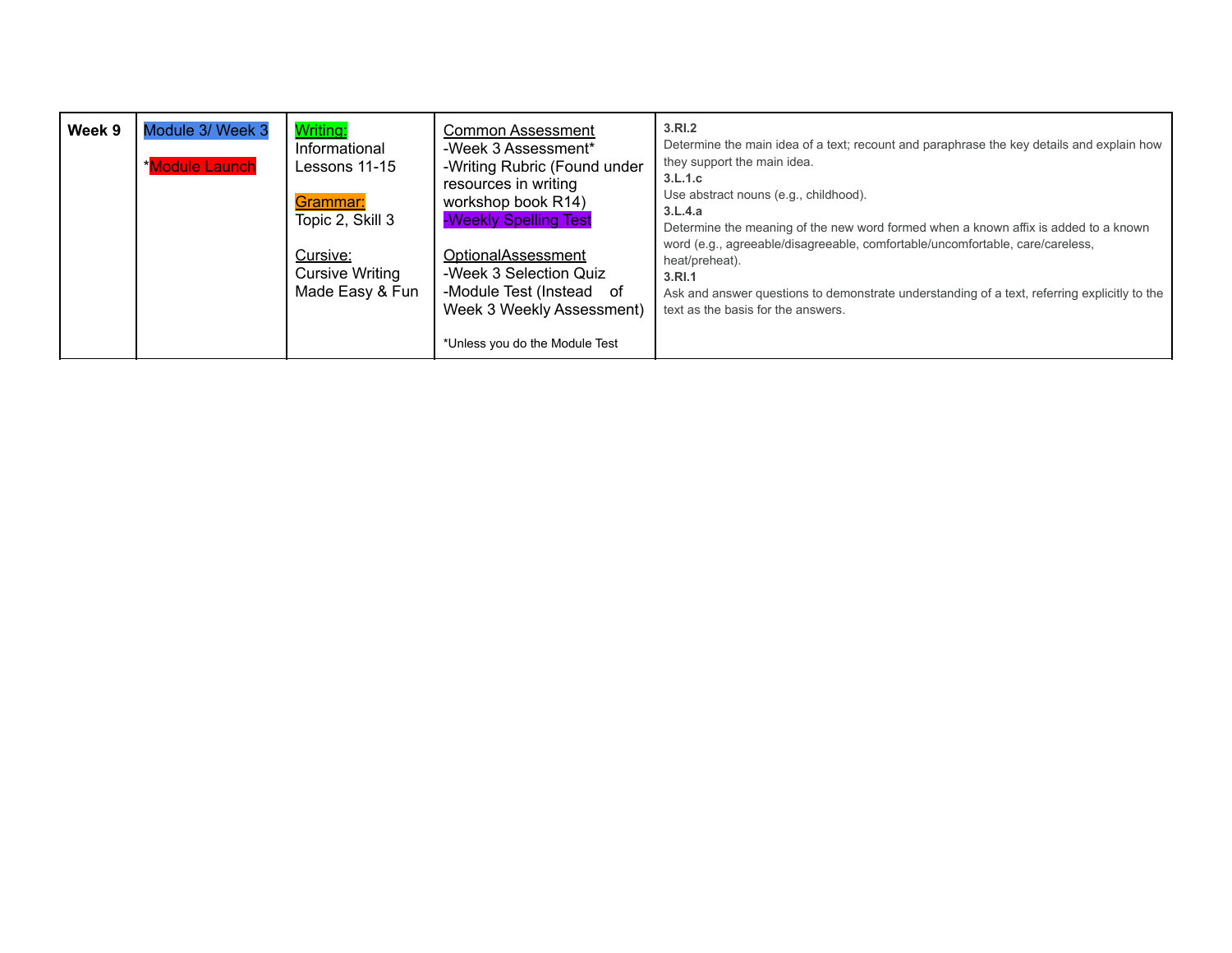| Writing:<br>Module 3/ Week 3<br>Week 9<br><b>Common Assessment</b><br>-Week 3 Assessment*<br>Informational<br>*Module Launch<br>-Writing Rubric (Found under<br>Lessons 11-15<br>resources in writing<br>workshop book R14)<br>Grammar:<br>-Weekly Spelling Test<br>Topic 2, Skill 3<br>OptionalAssessment<br>Cursive:<br><b>Cursive Writing</b><br>-Week 3 Selection Quiz<br>Made Easy & Fun<br>-Module Test (Instead of<br>Week 3 Weekly Assessment)<br>*Unless you do the Module Test | 3.RI.2<br>Determine the main idea of a text; recount and paraphrase the key details and explain how<br>they support the main idea.<br>3.L.1.c<br>Use abstract nouns (e.g., childhood).<br>3.L.4.a<br>Determine the meaning of the new word formed when a known affix is added to a known<br>word (e.g., agreeable/disagreeable, comfortable/uncomfortable, care/careless,<br>heat/preheat).<br>3.RI.1<br>Ask and answer questions to demonstrate understanding of a text, referring explicitly to the<br>text as the basis for the answers. |
|------------------------------------------------------------------------------------------------------------------------------------------------------------------------------------------------------------------------------------------------------------------------------------------------------------------------------------------------------------------------------------------------------------------------------------------------------------------------------------------|---------------------------------------------------------------------------------------------------------------------------------------------------------------------------------------------------------------------------------------------------------------------------------------------------------------------------------------------------------------------------------------------------------------------------------------------------------------------------------------------------------------------------------------------|
|------------------------------------------------------------------------------------------------------------------------------------------------------------------------------------------------------------------------------------------------------------------------------------------------------------------------------------------------------------------------------------------------------------------------------------------------------------------------------------------|---------------------------------------------------------------------------------------------------------------------------------------------------------------------------------------------------------------------------------------------------------------------------------------------------------------------------------------------------------------------------------------------------------------------------------------------------------------------------------------------------------------------------------------------|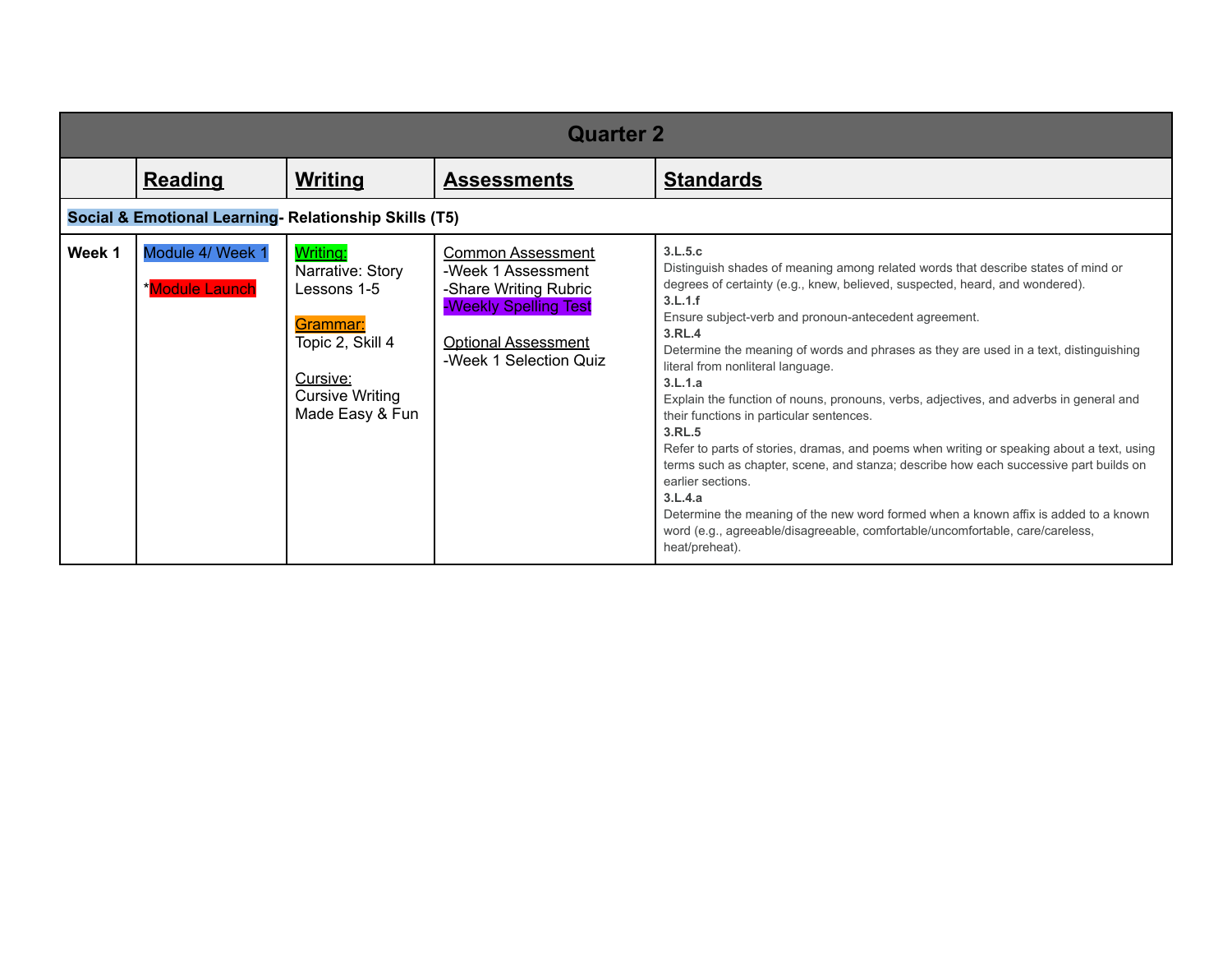|        | <b>Quarter 2</b>                                      |                                                                                                                                      |                                                                                                                                                          |                                                                                                                                                                                                                                                                                                                                                                                                                                                                                                                                                                                                                                                                                                                                                                                                                                                                                                                                                                     |  |
|--------|-------------------------------------------------------|--------------------------------------------------------------------------------------------------------------------------------------|----------------------------------------------------------------------------------------------------------------------------------------------------------|---------------------------------------------------------------------------------------------------------------------------------------------------------------------------------------------------------------------------------------------------------------------------------------------------------------------------------------------------------------------------------------------------------------------------------------------------------------------------------------------------------------------------------------------------------------------------------------------------------------------------------------------------------------------------------------------------------------------------------------------------------------------------------------------------------------------------------------------------------------------------------------------------------------------------------------------------------------------|--|
|        | <b>Reading</b>                                        | <b>Writing</b>                                                                                                                       | <b>Assessments</b>                                                                                                                                       | <b>Standards</b>                                                                                                                                                                                                                                                                                                                                                                                                                                                                                                                                                                                                                                                                                                                                                                                                                                                                                                                                                    |  |
|        | Social & Emotional Learning- Relationship Skills (T5) |                                                                                                                                      |                                                                                                                                                          |                                                                                                                                                                                                                                                                                                                                                                                                                                                                                                                                                                                                                                                                                                                                                                                                                                                                                                                                                                     |  |
| Week 1 | Module 4/ Week 1<br>*Module Launch                    | Writing:<br>Narrative: Story<br>Lessons 1-5<br>Grammar:<br>Topic 2, Skill 4<br>Cursive:<br><b>Cursive Writing</b><br>Made Easy & Fun | <b>Common Assessment</b><br>-Week 1 Assessment<br>-Share Writing Rubric<br>-Weekly Spelling Test<br><b>Optional Assessment</b><br>-Week 1 Selection Quiz | 3.L.5.c<br>Distinguish shades of meaning among related words that describe states of mind or<br>degrees of certainty (e.g., knew, believed, suspected, heard, and wondered).<br>3.L.1.f<br>Ensure subject-verb and pronoun-antecedent agreement.<br>3.RL.4<br>Determine the meaning of words and phrases as they are used in a text, distinguishing<br>literal from nonliteral language.<br>3.L.1.a<br>Explain the function of nouns, pronouns, verbs, adjectives, and adverbs in general and<br>their functions in particular sentences.<br>3.RL.5<br>Refer to parts of stories, dramas, and poems when writing or speaking about a text, using<br>terms such as chapter, scene, and stanza; describe how each successive part builds on<br>earlier sections.<br>3.L.4.a<br>Determine the meaning of the new word formed when a known affix is added to a known<br>word (e.g., agreeable/disagreeable, comfortable/uncomfortable, care/careless,<br>heat/preheat). |  |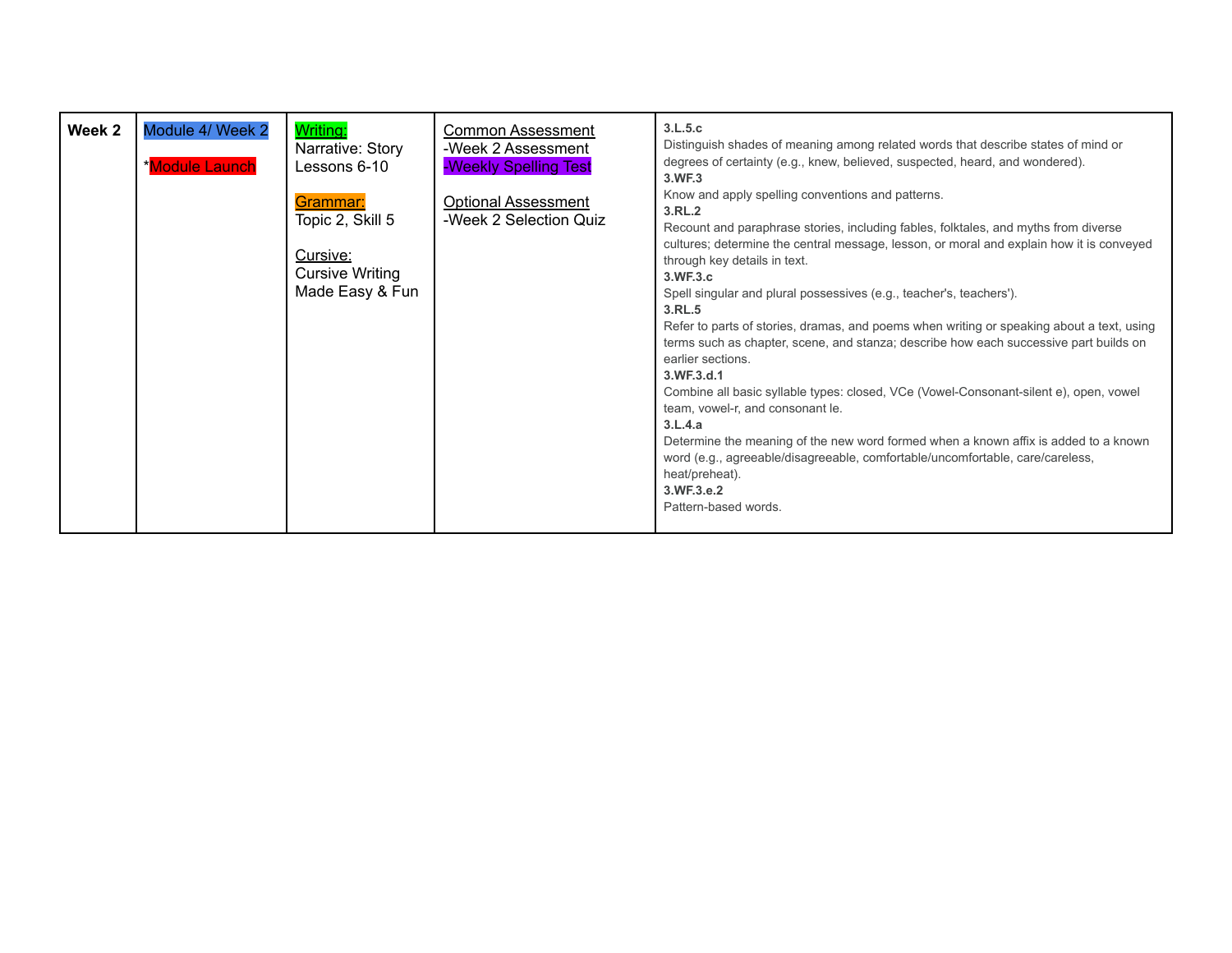| Week 2 | Module 4/ Week 2<br>*Module Launch | Writing:<br>Narrative: Story<br>Lessons 6-10                                          | <b>Common Assessment</b><br>-Week 2 Assessment<br>-Weekly Spelling Test | 3.L.5.c<br>Distinguish shades of meaning among related words that describe states of mind or<br>degrees of certainty (e.g., knew, believed, suspected, heard, and wondered).<br>3.WF3                                                                                                                                                                                                                                                                                                                                                                                                                                                                                                                                                                                                                                                                                                                                                                                        |
|--------|------------------------------------|---------------------------------------------------------------------------------------|-------------------------------------------------------------------------|------------------------------------------------------------------------------------------------------------------------------------------------------------------------------------------------------------------------------------------------------------------------------------------------------------------------------------------------------------------------------------------------------------------------------------------------------------------------------------------------------------------------------------------------------------------------------------------------------------------------------------------------------------------------------------------------------------------------------------------------------------------------------------------------------------------------------------------------------------------------------------------------------------------------------------------------------------------------------|
|        |                                    | Grammar:<br>Topic 2, Skill 5<br>Cursive:<br><b>Cursive Writing</b><br>Made Easy & Fun | <b>Optional Assessment</b><br>-Week 2 Selection Quiz                    | Know and apply spelling conventions and patterns.<br>3.RL.2<br>Recount and paraphrase stories, including fables, folktales, and myths from diverse<br>cultures; determine the central message, lesson, or moral and explain how it is conveyed<br>through key details in text.<br>3.WF.3.c<br>Spell singular and plural possessives (e.g., teacher's, teachers').<br>3.RL.5<br>Refer to parts of stories, dramas, and poems when writing or speaking about a text, using<br>terms such as chapter, scene, and stanza; describe how each successive part builds on<br>earlier sections.<br>3.WF.3.d.1<br>Combine all basic syllable types: closed, VCe (Vowel-Consonant-silent e), open, vowel<br>team, vowel-r, and consonant le.<br>3.L.4.a<br>Determine the meaning of the new word formed when a known affix is added to a known<br>word (e.g., agreeable/disagreeable, comfortable/uncomfortable, care/careless,<br>heat/preheat).<br>3.WF.3.e.2<br>Pattern-based words. |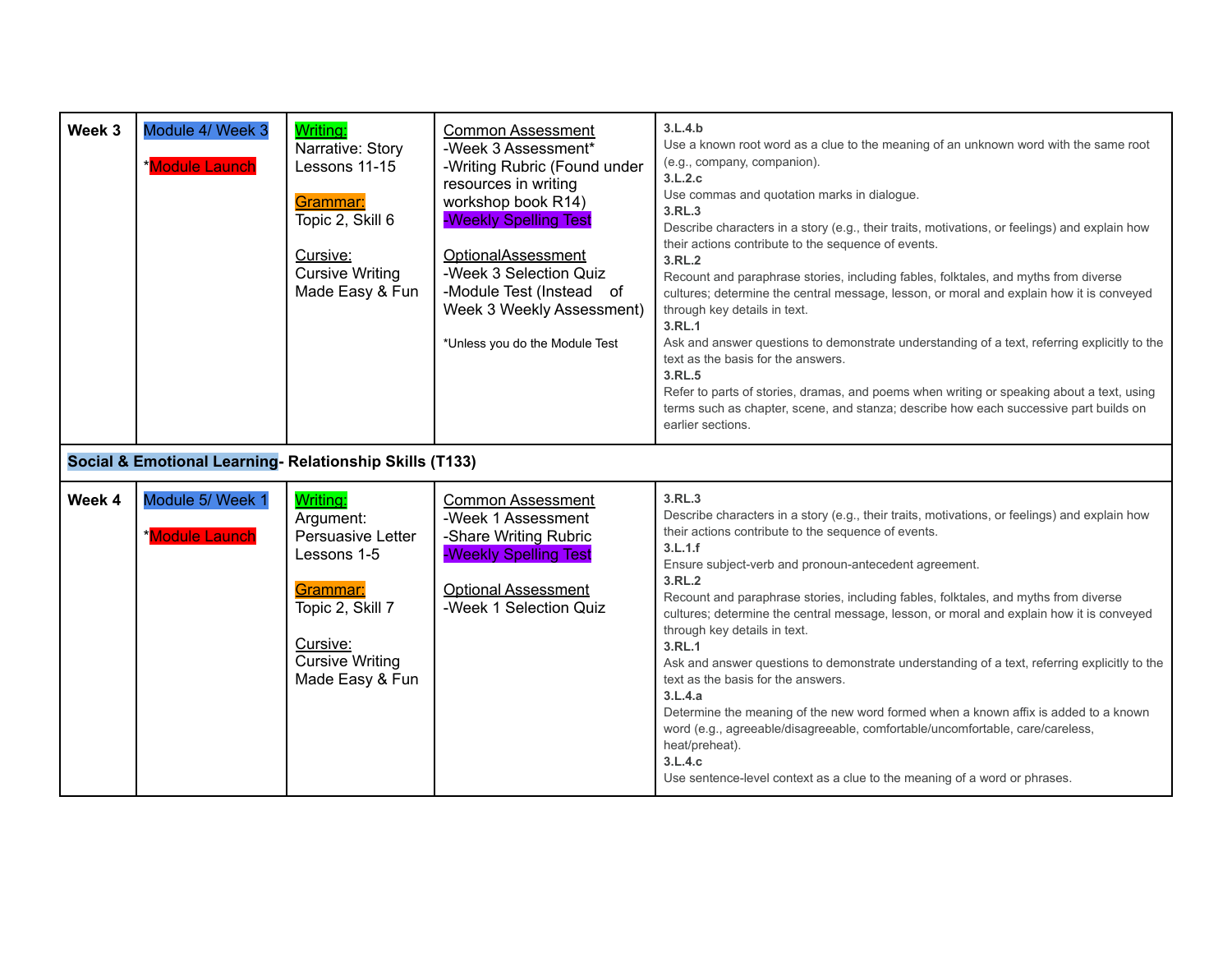| Week 3 | Module 4/ Week 3<br>*Module Launch                      | <b>Writing:</b><br>Narrative: Story<br>Lessons 11-15<br>Grammar:<br>Topic 2, Skill 6<br>Cursive:<br><b>Cursive Writing</b><br>Made Easy & Fun      | <b>Common Assessment</b><br>-Week 3 Assessment*<br>-Writing Rubric (Found under<br>resources in writing<br>workshop book R14)<br>-Weekly Spelling Test<br>OptionalAssessment<br>-Week 3 Selection Quiz<br>-Module Test (Instead of<br>Week 3 Weekly Assessment)<br>*Unless you do the Module Test | 3.L.4.b<br>Use a known root word as a clue to the meaning of an unknown word with the same root<br>(e.g., company, companion).<br>3.L.2.c<br>Use commas and quotation marks in dialogue.<br>3.RL.3<br>Describe characters in a story (e.g., their traits, motivations, or feelings) and explain how<br>their actions contribute to the sequence of events.<br>3.RL.2<br>Recount and paraphrase stories, including fables, folktales, and myths from diverse<br>cultures; determine the central message, lesson, or moral and explain how it is conveyed<br>through key details in text.<br>3.RL.1<br>Ask and answer questions to demonstrate understanding of a text, referring explicitly to the<br>text as the basis for the answers.<br>3.RL.5<br>Refer to parts of stories, dramas, and poems when writing or speaking about a text, using<br>terms such as chapter, scene, and stanza; describe how each successive part builds on<br>earlier sections. |
|--------|---------------------------------------------------------|----------------------------------------------------------------------------------------------------------------------------------------------------|---------------------------------------------------------------------------------------------------------------------------------------------------------------------------------------------------------------------------------------------------------------------------------------------------|--------------------------------------------------------------------------------------------------------------------------------------------------------------------------------------------------------------------------------------------------------------------------------------------------------------------------------------------------------------------------------------------------------------------------------------------------------------------------------------------------------------------------------------------------------------------------------------------------------------------------------------------------------------------------------------------------------------------------------------------------------------------------------------------------------------------------------------------------------------------------------------------------------------------------------------------------------------|
|        | Social & Emotional Learning- Relationship Skills (T133) |                                                                                                                                                    |                                                                                                                                                                                                                                                                                                   |                                                                                                                                                                                                                                                                                                                                                                                                                                                                                                                                                                                                                                                                                                                                                                                                                                                                                                                                                              |
| Week 4 | Module 5/ Week 1<br>*Module Launch                      | Writing:<br>Argument:<br>Persuasive Letter<br>Lessons 1-5<br>Grammar:<br>Topic 2, Skill 7<br>Cursive:<br><b>Cursive Writing</b><br>Made Easy & Fun | <b>Common Assessment</b><br>-Week 1 Assessment<br>-Share Writing Rubric<br>-Weekly Spelling Test<br><b>Optional Assessment</b><br>-Week 1 Selection Quiz                                                                                                                                          | 3.RL.3<br>Describe characters in a story (e.g., their traits, motivations, or feelings) and explain how<br>their actions contribute to the sequence of events.<br>3.L.1.f<br>Ensure subject-verb and pronoun-antecedent agreement.<br>3.RL.2<br>Recount and paraphrase stories, including fables, folktales, and myths from diverse<br>cultures; determine the central message, lesson, or moral and explain how it is conveyed<br>through key details in text.<br>3.RL.1<br>Ask and answer questions to demonstrate understanding of a text, referring explicitly to the<br>text as the basis for the answers.<br>3.L.4.a<br>Determine the meaning of the new word formed when a known affix is added to a known<br>word (e.g., agreeable/disagreeable, comfortable/uncomfortable, care/careless,<br>heat/preheat).<br>3.L.4.c<br>Use sentence-level context as a clue to the meaning of a word or phrases.                                                 |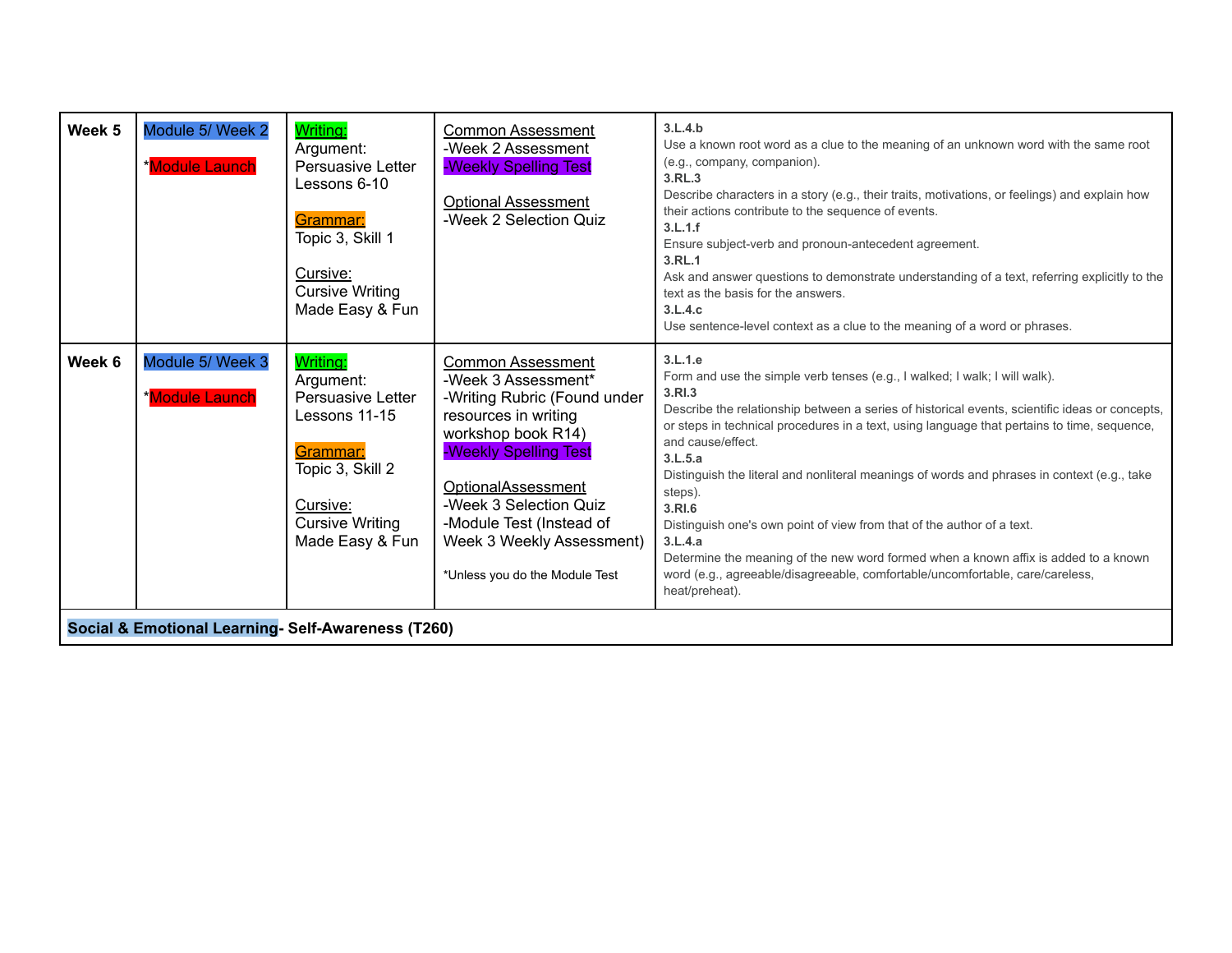| Week 5 | Module 5/ Week 2<br>*Module Launch                 | Writing:<br>Argument:<br><b>Persuasive Letter</b><br>Lessons 6-10<br>Grammar:<br>Topic 3, Skill 1<br>Cursive:<br><b>Cursive Writing</b><br>Made Easy & Fun  | <b>Common Assessment</b><br>-Week 2 Assessment<br>-Weekly Spelling Test<br><b>Optional Assessment</b><br>-Week 2 Selection Quiz                                                                                                                                                                          | 3.L.4.b<br>Use a known root word as a clue to the meaning of an unknown word with the same root<br>(e.g., company, companion).<br>3.RL.3<br>Describe characters in a story (e.g., their traits, motivations, or feelings) and explain how<br>their actions contribute to the sequence of events.<br>3.L.1.f<br>Ensure subject-verb and pronoun-antecedent agreement.<br>3.RL.1<br>Ask and answer questions to demonstrate understanding of a text, referring explicitly to the<br>text as the basis for the answers.<br>3.L.4.c<br>Use sentence-level context as a clue to the meaning of a word or phrases.                                                                                                                        |  |  |
|--------|----------------------------------------------------|-------------------------------------------------------------------------------------------------------------------------------------------------------------|----------------------------------------------------------------------------------------------------------------------------------------------------------------------------------------------------------------------------------------------------------------------------------------------------------|-------------------------------------------------------------------------------------------------------------------------------------------------------------------------------------------------------------------------------------------------------------------------------------------------------------------------------------------------------------------------------------------------------------------------------------------------------------------------------------------------------------------------------------------------------------------------------------------------------------------------------------------------------------------------------------------------------------------------------------|--|--|
| Week 6 | Module 5/ Week 3<br>*Module Launch                 | <b>Writing:</b><br>Argument:<br>Persuasive Letter<br>Lessons 11-15<br>Grammar:<br>Topic 3, Skill 2<br>Cursive:<br><b>Cursive Writing</b><br>Made Easy & Fun | <b>Common Assessment</b><br>-Week 3 Assessment*<br>-Writing Rubric (Found under<br>resources in writing<br>workshop book R14)<br>-Weekly Spelling Test<br><b>OptionalAssessment</b><br>-Week 3 Selection Quiz<br>-Module Test (Instead of<br>Week 3 Weekly Assessment)<br>*Unless you do the Module Test | 3.L.1.e<br>Form and use the simple verb tenses (e.g., I walked; I walk; I will walk).<br>3.RI.3<br>Describe the relationship between a series of historical events, scientific ideas or concepts,<br>or steps in technical procedures in a text, using language that pertains to time, sequence,<br>and cause/effect.<br>3.L.5.a<br>Distinguish the literal and nonliteral meanings of words and phrases in context (e.g., take<br>steps).<br>3.RI.6<br>Distinguish one's own point of view from that of the author of a text.<br>3.L.4.a<br>Determine the meaning of the new word formed when a known affix is added to a known<br>word (e.g., agreeable/disagreeable, comfortable/uncomfortable, care/careless,<br>heat/preheat). |  |  |
|        | Social & Emotional Learning- Self-Awareness (T260) |                                                                                                                                                             |                                                                                                                                                                                                                                                                                                          |                                                                                                                                                                                                                                                                                                                                                                                                                                                                                                                                                                                                                                                                                                                                     |  |  |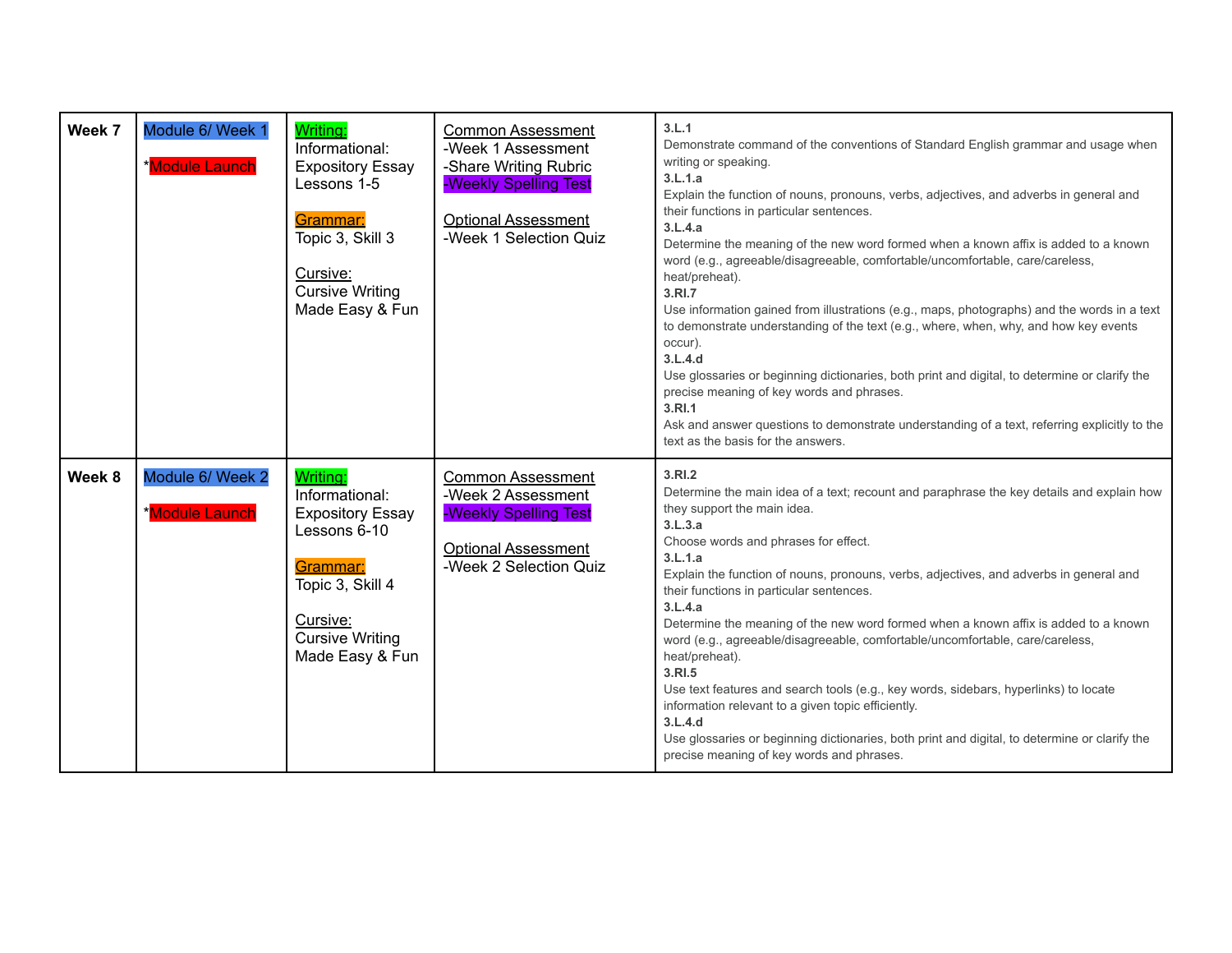| Week 7 | Module 6/ Week 1<br><b>Module Launch</b>  | <b>Writing:</b><br>Informational:<br><b>Expository Essay</b><br>Lessons 1-5<br>Grammar:<br>Topic 3, Skill 3<br>Cursive:<br><b>Cursive Writing</b><br>Made Easy & Fun | <b>Common Assessment</b><br>-Week 1 Assessment<br>-Share Writing Rubric<br>-Weekly Spelling Test<br><b>Optional Assessment</b><br>-Week 1 Selection Quiz | 3.L.1<br>Demonstrate command of the conventions of Standard English grammar and usage when<br>writing or speaking.<br>3.L.1.a<br>Explain the function of nouns, pronouns, verbs, adjectives, and adverbs in general and<br>their functions in particular sentences.<br>3.L.4.a<br>Determine the meaning of the new word formed when a known affix is added to a known<br>word (e.g., agreeable/disagreeable, comfortable/uncomfortable, care/careless,<br>heat/preheat).<br>3.RI.7<br>Use information gained from illustrations (e.g., maps, photographs) and the words in a text<br>to demonstrate understanding of the text (e.g., where, when, why, and how key events<br>occur).<br>3.L.4.d<br>Use glossaries or beginning dictionaries, both print and digital, to determine or clarify the<br>precise meaning of key words and phrases.<br>3.RI.1<br>Ask and answer questions to demonstrate understanding of a text, referring explicitly to the<br>text as the basis for the answers. |
|--------|-------------------------------------------|----------------------------------------------------------------------------------------------------------------------------------------------------------------------|----------------------------------------------------------------------------------------------------------------------------------------------------------|-----------------------------------------------------------------------------------------------------------------------------------------------------------------------------------------------------------------------------------------------------------------------------------------------------------------------------------------------------------------------------------------------------------------------------------------------------------------------------------------------------------------------------------------------------------------------------------------------------------------------------------------------------------------------------------------------------------------------------------------------------------------------------------------------------------------------------------------------------------------------------------------------------------------------------------------------------------------------------------------------|
| Week 8 | Module 6/ Week 2<br><b>*Module Launch</b> | Writing:<br>Informational:<br><b>Expository Essay</b><br>Lessons 6-10<br>Grammar:<br>Topic 3, Skill 4<br>Cursive:<br><b>Cursive Writing</b><br>Made Easy & Fun       | <b>Common Assessment</b><br>-Week 2 Assessment<br>-Weekly Spelling Test<br><b>Optional Assessment</b><br>-Week 2 Selection Quiz                          | 3.RI.2<br>Determine the main idea of a text; recount and paraphrase the key details and explain how<br>they support the main idea.<br>3.L.3.a<br>Choose words and phrases for effect.<br>3.L.1.a<br>Explain the function of nouns, pronouns, verbs, adjectives, and adverbs in general and<br>their functions in particular sentences.<br>3.L.4.a<br>Determine the meaning of the new word formed when a known affix is added to a known<br>word (e.g., agreeable/disagreeable, comfortable/uncomfortable, care/careless,<br>heat/preheat).<br>3.RI.5<br>Use text features and search tools (e.g., key words, sidebars, hyperlinks) to locate<br>information relevant to a given topic efficiently.<br>3.L.4.d<br>Use glossaries or beginning dictionaries, both print and digital, to determine or clarify the<br>precise meaning of key words and phrases.                                                                                                                                  |